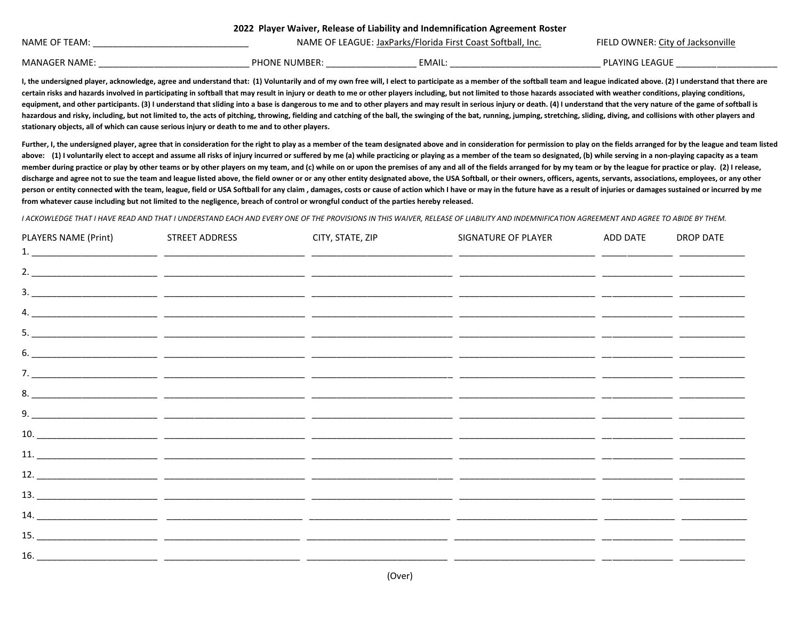| zuzzi Player Walver, Release of Liability and Indemnification Agreement Roster |                      |                                                             |                                   |  |  |  |  |
|--------------------------------------------------------------------------------|----------------------|-------------------------------------------------------------|-----------------------------------|--|--|--|--|
| NAME OF TEAM:                                                                  |                      | NAME OF LEAGUE: JaxParks/Florida First Coast Softball, Inc. | FIELD OWNER: City of Jacksonville |  |  |  |  |
| <b>MANAGER NAME:</b>                                                           | <b>PHONE NUMBER:</b> | EMAIL                                                       | <b>PLAYING LEAGUE</b>             |  |  |  |  |

I, the undersigned player, acknowledge, agree and understand that: (1) Voluntarily and of my own free will, I elect to participate as a member of the softball team and league indicated above. (2) I understand that there ar certain risks and hazards involved in participating in softball that may result in injury or death to me or other players including, but not limited to those hazards associated with weather conditions, playing conditions, equipment, and other participants. (3) I understand that sliding into a base is dangerous to me and to other players and may result in serious injury or death. (4) I understand that the very nature of the game of softball hazardous and risky, including, but not limited to, the acts of pitching, throwing, fielding and catching of the ball, the swinging of the bat, running, jumping, stretching, sliding, diving, and collisions with other playe **stationary objects, all of which can cause serious injury or death to me and to other players.** 

**2022 Player Waiver, Release of Liability and Indemnification Agreement Roster**

Further, I, the undersigned player, agree that in consideration for the right to play as a member of the team designated above and in consideration for permission to play on the fields arranged for by the league and team l above: (1) I voluntarily elect to accept and assume all risks of injury incurred or suffered by me (a) while practicing or playing as a member of the team so designated, (b) while serving in a non-playing capacity as a tea member during practice or play by other teams or by other players on my team, and (c) while on or upon the premises of any and all of the fields arranged for by my team or by the league for practice or play. (2) I release, discharge and agree not to sue the team and league listed above, the field owner or or any other entity designated above, the USA Softball, or their owners, officers, agents, servants, associations, employees, or any other person or entity connected with the team, league, field or USA Softball for any claim, damages, costs or cause of action which I have or may in the future have as a result of injuries or damages sustained or incurred by me **from whatever cause including but not limited to the negligence, breach of control or wrongful conduct of the parties hereby released.**

*I ACKOWLEDGE THAT I HAVE READ AND THAT I UNDERSTAND EACH AND EVERY ONE OF THE PROVISIONS IN THIS WAIVER, RELEASE OF LIABILITY AND INDEMNIFICATION AGREEMENT AND AGREE TO ABIDE BY THEM.*

| PLAYERS NAME (Print) | STREET ADDRESS | CITY, STATE, ZIP | SIGNATURE OF PLAYER | ADD DATE | <b>DROP DATE</b> |
|----------------------|----------------|------------------|---------------------|----------|------------------|
|                      |                |                  |                     |          |                  |
|                      |                |                  |                     |          |                  |
|                      |                |                  |                     |          |                  |
|                      |                |                  |                     |          |                  |
|                      |                |                  |                     |          |                  |
|                      |                |                  |                     |          |                  |
|                      |                |                  |                     |          |                  |
|                      |                |                  |                     |          |                  |
|                      |                |                  |                     |          |                  |
|                      |                |                  |                     |          |                  |
|                      |                |                  |                     |          |                  |
|                      |                |                  |                     |          |                  |
|                      |                |                  |                     |          |                  |
|                      |                |                  |                     |          |                  |
|                      |                |                  |                     |          |                  |
|                      |                |                  |                     |          |                  |
|                      |                |                  |                     |          |                  |